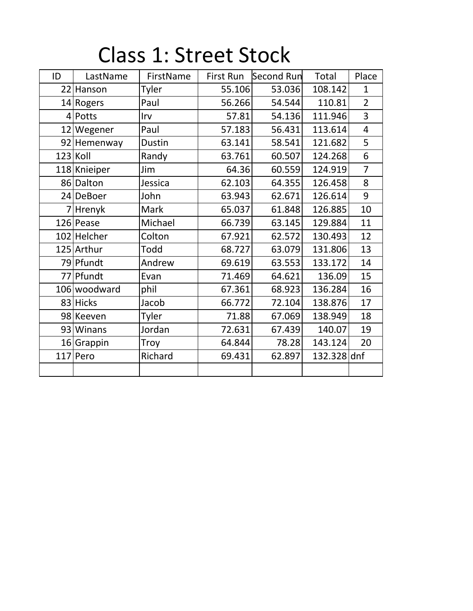|  | <b>Class 1: Street Stock</b> |
|--|------------------------------|
|--|------------------------------|

| ID | LastName     | FirstName     | First Run | <b>Second Run</b> | Total       | Place          |
|----|--------------|---------------|-----------|-------------------|-------------|----------------|
|    | 22 Hanson    | Tyler         | 55.106    | 53.036            | 108.142     | $\mathbf{1}$   |
|    | 14 Rogers    | Paul          | 56.266    | 54.544            | 110.81      | $\overline{2}$ |
|    | 4 Potts      | Irv           | 57.81     | 54.136            | 111.946     | $\overline{3}$ |
|    | 12 Wegener   | Paul          | 57.183    | 56.431            | 113.614     | $\overline{4}$ |
|    | 92 Hemenway  | <b>Dustin</b> | 63.141    | 58.541            | 121.682     | 5              |
|    | $123$ Koll   | Randy         | 63.761    | 60.507            | 124.268     | 6              |
|    | 118 Knieiper | Jim           | 64.36     | 60.559            | 124.919     | $\overline{7}$ |
|    | 86 Dalton    | Jessica       | 62.103    | 64.355            | 126.458     | 8              |
|    | 24 DeBoer    | John          | 63.943    | 62.671            | 126.614     | 9              |
|    | 7 Hrenyk     | Mark          | 65.037    | 61.848            | 126.885     | 10             |
|    | 126 Pease    | Michael       | 66.739    | 63.145            | 129.884     | 11             |
|    | 102 Helcher  | Colton        | 67.921    | 62.572            | 130.493     | 12             |
|    | 125 Arthur   | Todd          | 68.727    | 63.079            | 131.806     | 13             |
|    | 79 Pfundt    | Andrew        | 69.619    | 63.553            | 133.172     | 14             |
|    | 77 Pfundt    | Evan          | 71.469    | 64.621            | 136.09      | 15             |
|    | 106 woodward | phil          | 67.361    | 68.923            | 136.284     | 16             |
|    | 83 Hicks     | Jacob         | 66.772    | 72.104            | 138.876     | 17             |
|    | 98 Keeven    | Tyler         | 71.88     | 67.069            | 138.949     | 18             |
|    | 93 Winans    | Jordan        | 72.631    | 67.439            | 140.07      | 19             |
|    | 16 Grappin   | Troy          | 64.844    | 78.28             | 143.124     | 20             |
|    | 117 Pero     | Richard       | 69.431    | 62.897            | 132.328 dnf |                |
|    |              |               |           |                   |             |                |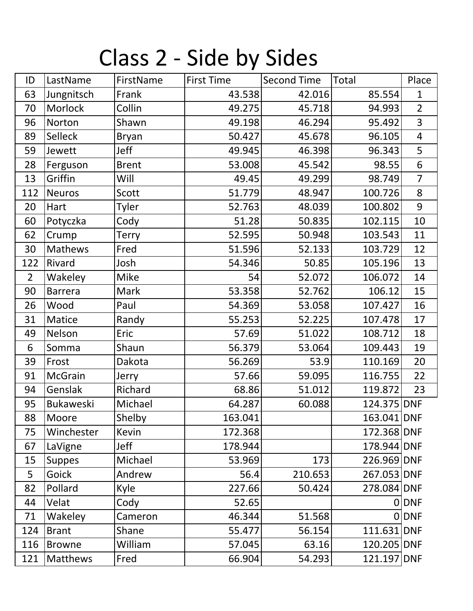## Class 2 - Side by Sides

| ID             | LastName         | FirstName    | <b>First Time</b> | <b>Second Time</b> | Total       | Place          |
|----------------|------------------|--------------|-------------------|--------------------|-------------|----------------|
| 63             | Jungnitsch       | Frank        | 43.538            | 42.016             | 85.554      | $\mathbf{1}$   |
| 70             | Morlock          | Collin       | 49.275            | 45.718             | 94.993      | $\overline{2}$ |
| 96             | Norton           | Shawn        | 49.198            | 46.294             | 95.492      | $\overline{3}$ |
| 89             | Selleck          | <b>Bryan</b> | 50.427            | 45.678             | 96.105      | $\overline{4}$ |
| 59             | Jewett           | Jeff         | 49.945            | 46.398             | 96.343      | 5              |
| 28             | Ferguson         | <b>Brent</b> | 53.008            | 45.542             | 98.55       | 6              |
| 13             | Griffin          | Will         | 49.45             | 49.299             | 98.749      | $\overline{7}$ |
| 112            | <b>Neuros</b>    | Scott        | 51.779            | 48.947             | 100.726     | 8              |
| 20             | Hart             | <b>Tyler</b> | 52.763            | 48.039             | 100.802     | 9              |
| 60             | Potyczka         | Cody         | 51.28             | 50.835             | 102.115     | 10             |
| 62             | Crump            | <b>Terry</b> | 52.595            | 50.948             | 103.543     | 11             |
| 30             | Mathews          | Fred         | 51.596            | 52.133             | 103.729     | 12             |
| 122            | Rivard           | Josh         | 54.346            | 50.85              | 105.196     | 13             |
| $\overline{2}$ | Wakeley          | Mike         | 54                | 52.072             | 106.072     | 14             |
| 90             | <b>Barrera</b>   | Mark         | 53.358            | 52.762             | 106.12      | 15             |
| 26             | Wood             | Paul         | 54.369            | 53.058             | 107.427     | 16             |
| 31             | Matice           | Randy        | 55.253            | 52.225             | 107.478     | 17             |
| 49             | Nelson           | Eric         | 57.69             | 51.022             | 108.712     | 18             |
| 6              | Somma            | Shaun        | 56.379            | 53.064             | 109.443     | 19             |
| 39             | Frost            | Dakota       | 56.269            | 53.9               | 110.169     | 20             |
| 91             | McGrain          | Jerry        | 57.66             | 59.095             | 116.755     | 22             |
| 94             | Genslak          | Richard      | 68.86             | 51.012             | 119.872     | 23             |
| 95             | <b>Bukaweski</b> | Michael      | 64.287            | 60.088             | 124.375 DNF |                |
| 88             | Moore            | Shelby       | 163.041           |                    | 163.041 DNF |                |
| 75             | Winchester       | <b>Kevin</b> | 172.368           |                    | 172.368 DNF |                |
| 67             | LaVigne          | Jeff         | 178.944           |                    | 178.944 DNF |                |
| 15             | <b>Suppes</b>    | Michael      | 53.969            | 173                | 226.969 DNF |                |
| 5 <sup>5</sup> | Goick            | Andrew       | 56.4              | 210.653            | 267.053 DNF |                |
| 82             | Pollard          | Kyle         | 227.66            | 50.424             | 278.084 DNF |                |
| 44             | Velat            | Cody         | 52.65             |                    |             | $0$ DNF        |
| 71             | Wakeley          | Cameron      | 46.344            | 51.568             |             | 0 DNF          |
| 124            | <b>Brant</b>     | Shane        | 55.477            | 56.154             | 111.631 DNF |                |
| 116            | <b>Browne</b>    | William      | 57.045            | 63.16              | 120.205 DNF |                |
| 121            | <b>Matthews</b>  | Fred         | 66.904            | 54.293             | 121.197 DNF |                |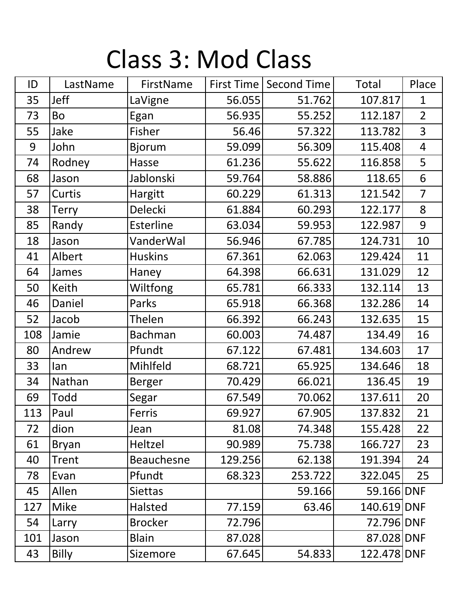## Class 3: Mod Class

| ID  | LastName     | FirstName      | First Time | <b>Second Time</b> | Total       | Place                   |
|-----|--------------|----------------|------------|--------------------|-------------|-------------------------|
| 35  | <b>Jeff</b>  | LaVigne        | 56.055     | 51.762             | 107.817     | $\mathbf{1}$            |
| 73  | Bo           | Egan           | 56.935     | 55.252             | 112.187     | $\overline{2}$          |
| 55  | Jake         | Fisher         | 56.46      | 57.322             | 113.782     | 3                       |
| 9   | John         | <b>Bjorum</b>  | 59.099     | 56.309             | 115.408     | $\overline{\mathbf{4}}$ |
| 74  | Rodney       | Hasse          | 61.236     | 55.622             | 116.858     | 5                       |
| 68  | Jason        | Jablonski      | 59.764     | 58.886             | 118.65      | 6                       |
| 57  | Curtis       | Hargitt        | 60.229     | 61.313             | 121.542     | $\overline{7}$          |
| 38  | <b>Terry</b> | Delecki        | 61.884     | 60.293             | 122.177     | 8                       |
| 85  | Randy        | Esterline      | 63.034     | 59.953             | 122.987     | 9                       |
| 18  | Jason        | VanderWal      | 56.946     | 67.785             | 124.731     | 10                      |
| 41  | Albert       | <b>Huskins</b> | 67.361     | 62.063             | 129.424     | 11                      |
| 64  | <b>James</b> | Haney          | 64.398     | 66.631             | 131.029     | 12                      |
| 50  | Keith        | Wiltfong       | 65.781     | 66.333             | 132.114     | 13                      |
| 46  | Daniel       | Parks          | 65.918     | 66.368             | 132.286     | 14                      |
| 52  | Jacob        | Thelen         | 66.392     | 66.243             | 132.635     | 15                      |
| 108 | Jamie        | <b>Bachman</b> | 60.003     | 74.487             | 134.49      | 16                      |
| 80  | Andrew       | Pfundt         | 67.122     | 67.481             | 134.603     | 17                      |
| 33  | lan          | Mihlfeld       | 68.721     | 65.925             | 134.646     | 18                      |
| 34  | Nathan       | <b>Berger</b>  | 70.429     | 66.021             | 136.45      | 19                      |
| 69  | Todd         | Segar          | 67.549     | 70.062             | 137.611     | 20                      |
| 113 | Paul         | Ferris         | 69.927     | 67.905             | 137.832     | 21                      |
| 72  | dion         | Jean           | 81.08      | 74.348             | 155.428     | 22                      |
| 61  | <b>Bryan</b> | Heltzel        | 90.989     | 75.738             | 166.727     | 23                      |
| 40  | Trent        | Beauchesne     | 129.256    | 62.138             | 191.394     | 24                      |
| 78  | Evan         | Pfundt         | 68.323     | 253.722            | 322.045     | 25                      |
| 45  | Allen        | <b>Siettas</b> |            | 59.166             | 59.166 DNF  |                         |
| 127 | <b>Mike</b>  | Halsted        | 77.159     | 63.46              | 140.619 DNF |                         |
| 54  | Larry        | <b>Brocker</b> | 72.796     |                    | 72.796 DNF  |                         |
| 101 | Jason        | <b>Blain</b>   | 87.028     |                    | 87.028 DNF  |                         |
| 43  | <b>Billy</b> | Sizemore       | 67.645     | 54.833             | 122.478 DNF |                         |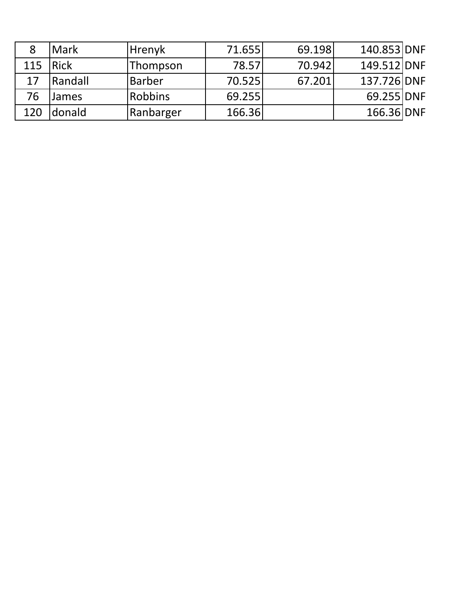|     | Mark         | <b>Hrenyk</b>  | 71.655 | 69.198 | 140.853 DNF |  |
|-----|--------------|----------------|--------|--------|-------------|--|
| 115 | <b>IRick</b> | Thompson       | 78.57  | 70.942 | 149.512 DNF |  |
| 17  | Randall      | <b>Barber</b>  | 70.525 | 67.201 | 137.726 DNF |  |
| 76  | James        | <b>Robbins</b> | 69.255 |        | 69.255 DNF  |  |
| 120 | donald       | Ranbarger      | 166.36 |        | 166.36 DNF  |  |